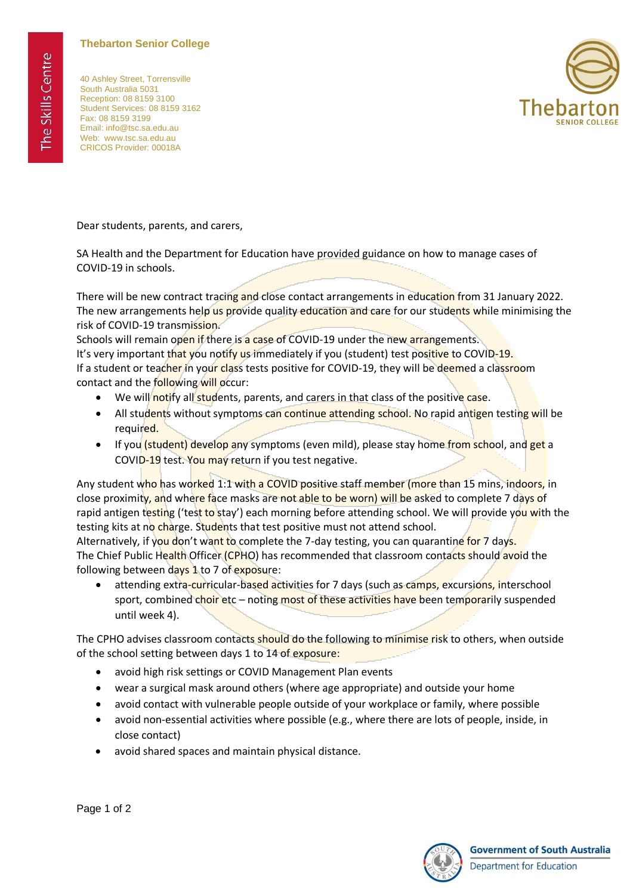## **Thebarton Senior College**

40 Ashley Street, Torrensville South Australia 5031 Reception: 08 8159 3100 Student Services: 08 8159 3162 Fax: 08 8159 3199 Email: info@tsc.sa.edu.au Web: www.tsc.sa.edu.au CRICOS Provider: 00018A



Dear students, parents, and carers,

SA Health and the Department for Education have provided guidance on how to manage cases of COVID-19 in schools.

There will be new contract tracing and close contact arrangements in education from 31 January 2022. The new arrangements help us provide quality education and care for our students while minimising the risk of COVID-19 transmission.

Schools will remain open if there is a case of COVID-19 under the new arrangements. It's very important that you notify us immediately if you (student) test positive to COVID-19. If a student or teacher in your class tests positive for COVID-19, they will be deemed a classroom contact and the following will occur:

- We will notify all students, parents, and carers in that class of the positive case.
- All students without symptoms can continue attending school. No rapid antigen testing will be required.
- If you (student) develop any symptoms (even mild), please stay home from school, and get a COVID-19 test. You may return if you test negative.

Any student who has worked 1:1 with a COVID positive staff member (more than 15 mins, indoors, in close proximity, and where face masks are not able to be worn) will be asked to complete 7 days of rapid antigen testing ('test to stay') each morning before attending school. We will provide you with the testing kits at no charge. Students that test positive must not attend school.

Alternatively, if you don't want to complete the 7-day testing, you can quarantine for 7 days. The Chief Public Health Officer (CPHO) has recommended that classroom contacts should avoid the following between days 1 to 7 of exposure:

attending extra-curricular-based activities for 7 days (such as camps, excursions, interschool sport, combined choir etc – noting most of these activities have been temporarily suspended until week 4).

The CPHO advises classroom contacts should do the following to minimise risk to others, when outside of the school setting between days 1 to 14 of exposure:

- avoid high risk settings or COVID Management Plan events
- wear a surgical mask around others (where age appropriate) and outside your home
- avoid contact with vulnerable people outside of your workplace or family, where possible
- avoid non-essential activities where possible (e.g., where there are lots of people, inside, in close contact)
- avoid shared spaces and maintain physical distance.



**Government of South Australia** Department for Education